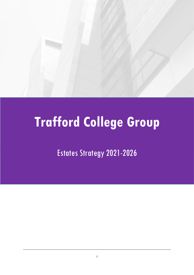

# **Trafford College Group**

Estates Strategy 2021-2026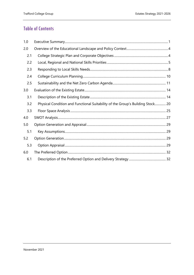## **Table of Contents**

| 1.0 |                                                                                |  |
|-----|--------------------------------------------------------------------------------|--|
| 2.0 |                                                                                |  |
| 2.1 |                                                                                |  |
| 2.2 |                                                                                |  |
| 2.3 |                                                                                |  |
| 2.4 |                                                                                |  |
| 2.5 |                                                                                |  |
| 3.0 |                                                                                |  |
| 3.1 |                                                                                |  |
| 3.2 | Physical Condition and Functional Suitability of the Group's Building Stock 20 |  |
| 3.3 |                                                                                |  |
| 4.0 |                                                                                |  |
| 5.0 |                                                                                |  |
| 5.1 |                                                                                |  |
| 5.2 |                                                                                |  |
| 5.3 |                                                                                |  |
| 6.0 |                                                                                |  |
| 6.1 |                                                                                |  |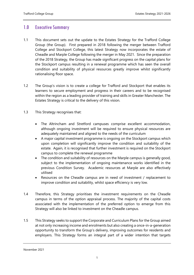## <span id="page-2-0"></span>1.0 Executive Summary

- 1.1 This document sets out the update to the Estates Strategy for the Trafford College Group (the Group). First prepared in 2018 following the merger between Trafford College and Stockport College, this latest Strategy now incorporates the estate of Cheadle and Marple College following the merger in May 2021. Since the preparation of the 2018 Strategy, the Group has made significant progress on the capital plans for the Stockport campus resulting in a renewal programme which has seen the overall condition and suitability of physical resources greatly improve whilst significantly rationalising floor space.
- 1.2 The Group's vision is to create a college for Trafford and Stockport that enables its learners to secure employment and progress in their careers and to be recognised within the region as a leading provider of training and skills in Greater Manchester. The Estates Strategy is critical to the delivery of this vision.
- 1.3 This Strategy recognises that:
	- The Altrincham and Stretford campuses comprise excellent accommodation, although ongoing investment will be required to ensure physical resources are adequately maintained and aligned to the needs of the curriculum
	- A major capital investment programme is ongoing on the Stockport campus which upon completion will significantly improve the condition and suitability of the estate. Again, it is recognised that further investment is required on the Stockport campus to complete the renewal programme
	- The condition and suitability of resources on the Marple campus is generally good, subject to the implementation of ongoing maintenance works identified in the previous Condition Survey. Academic resources at Marple are also effectively utilised
	- Resources on the Cheadle campus are in need of investment / replacement to improve condition and suitability, whilst space efficiency is very low.
- 1.4 Therefore, this Strategy prioritises the investment requirements on the Cheadle campus in terms of the option appraisal process. The majority of the capital costs associated with the implementation of the preferred option to emerge from this Strategy will also be linked to investment on the Cheadle campus.
- 1.5 This Strategy seeks to support the Corporate and Curriculum Plans for the Group aimed at not only increasing income and enrolments but also creating a once-in-a-generation opportunity to transform the Group's delivery, improving outcomes for residents and employers. This Strategy forms an integral part of a wider intention that targets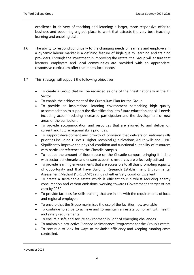excellence in delivery of teaching and learning; a larger, more responsive offer to business and becoming a great place to work that attracts the very best teaching, learning and enabling staff.

- 1.6 The ability to respond continually to the changing needs of learners and employers in a dynamic labour market is a defining feature of high-quality learning and training providers. Through the investment in improving the estate, the Group will ensure that learners, employers and local communities are provided with an appropriate, responsive curriculum offer that meets local needs.
- 1.7 This Strategy will support the following objectives:
	- To create a Group that will be regarded as one of the finest nationally in the FE Sector
	- To enable the achievement of the Curriculum Plan for the Group
	- To provide an inspirational learning environment comprising high quality accommodation to support the diversification into future education and skill needs including accommodating increased participation and the development of new areas of the curriculum.
	- To provide accommodation and resources that are aligned to and deliver on current and future regional skills priorities.
	- To support development and growth of provision that delivers on national skills priorities including T Levels, Higher Technical Qualifications, Adult Skills and SEND
	- Significantly improve the physical condition and functional suitability of resources with particular reference to the Cheadle campus
	- To reduce the amount of floor space on the Cheadle campus, bringing it in line with sector benchmarks and ensure academic resources are effectively utilised
	- To provide learning environments that are accessible to all thus promoting equality of opportunity and that have Building Research Establishment Environmental Assessment Method ("BREEAM") ratings of either Very Good or Excellent
	- To create a sustainable estate which is efficient to run whilst reducing energy consumption and carbon emissions, working towards Government's target of net zero by 2050
	- To provide facilities for skills training that are in line with the requirements of local and regional employers
	- To ensure that the Group maximises the use of the facilities now available
	- To continue to strive to achieve and to maintain an estate compliant with health and safety requirements
	- To ensure a safe and secure environment in light of emerging challenges
	- To maintain a pro-active Planned Maintenance Programme for the Group's estate
	- To continue to look for ways to maximise efficiency and keeping running costs controlled.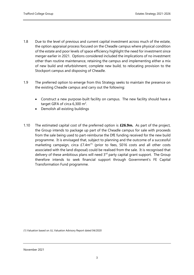- 1.8 Due to the level of previous and current capital investment across much of the estate, the option appraisal process focused on the Cheadle campus where physical condition of the estate and poor levels of space efficiency highlight the need for investment since merger earlier in 2021. Options considered included the implications of no investment other than routine maintenance, retaining the campus and implementing either a mix of new build and refurbishment, complete new build, to relocating provision to the Stockport campus and disposing of Cheadle.
- 1.9 The preferred option to emerge from this Strategy seeks to maintain the presence on the existing Cheadle campus and carry out the following:
	- Construct a new purpose-built facility on campus. The new facility should have a target GIFA of circa  $6,300 \text{ m}^2$ .
	- Demolish all existing buildings
- 1.10 The estimated capital cost of the preferred option is **£26.9m.** As part of the project, the Group intends to package up part of the Cheadle campus for sale with proceeds from the sale being used to part-reimburse the DfE funding received for the new build programme. It is envisaged that, subject to planning and the outcome of a successful marketing campaign, circa  $E7.4m^{(1)}$  (prior to fees, S016 costs and all other costs associated with the land disposal) could be realised from the sale. It is recognised that delivery of these ambitious plans will need  $3<sup>rd</sup>$  party capital grant support. The Group therefore intends to seek financial support through Government's FE Capital Transformation Fund programme.

(1) Valuation based on JLL Valuation Advisory Report dated 04/2020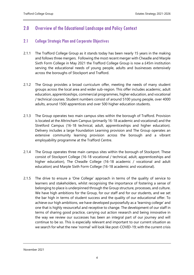## <span id="page-5-0"></span>2.0 Overview of the Educational Landscape and Policy Context

## <span id="page-5-1"></span>2.1 College Strategic Plan and Corporate Objectives

- 2.1.1 The Trafford College Group as it stands today has been nearly 15 years in the making and follows three mergers. Following the most recent merger with Cheadle and Marple Sixth Form College in May 2021 the Trafford College Group is now a £45m institution serving the educational needs of young people, adults and businesses extensively across the boroughs of Stockport and Trafford.
- 2.1.2 The Group provides a broad curriculum offer, meeting the needs of many student groups across the local area and wider sub-region. This offer includes academic, adult education, apprenticeships, commercial programmes, higher education, and vocational / technical courses. Student numbers consist of around 5100 young people, over 4000 adults, around 1500 apprentices and over 500 higher education students.
- 2.1.3 The Group operates two main campus sites within the borough of Trafford. Provision is located at the Altrincham Campus (primarily 16-18 academic and vocational) and the Stretford Campus (16-18 technical, adult, apprenticeships and higher education). Delivery includes a large Foundation Learning provision and The Group operates an extensive community learning provision across the borough and a vibrant employability programme at the Trafford Centre.
- 2.1.4 The Group operates three main campus sites within the borough of Stockport. These consist of Stockport College (16-18 vocational / technical, adult, apprenticeships and higher education), The Cheadle College (16-18 academic / vocational and adult education) and Marple Sixth Form College (16-18 academic and vocational).
- 2.1.5 The drive to ensure a 'One College' approach in terms of the quality of service to learners and stakeholders, whilst recognising the importance of fostering a sense of belonging to place is underpinned through the Group structure, processes, and culture. We have high ambitions for the Group, for our staff and for our students, and we set the bar high in terms of student success and the quality of our educational offer. To achieve our high ambitions, we have developed purposefully as a 'learning college' and one that is highly resourceful and receptive to change. The development of our staff in terms of sharing good practice, carrying out action research and being innovative in the way we review our successes has been an integral part of our journey and will continue to be so. This is especially relevant and important to our current situation as we search for what the new 'normal' will look like post-COVID-19; with the current crisis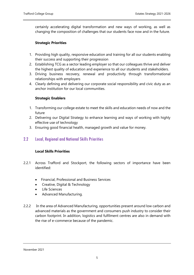certainly accelerating digital transformation and new ways of working, as well as changing the composition of challenges that our students face now and in the future.

## **Strategic Priorities**

- 1. Providing high quality, responsive education and training for all our students enabling their success and supporting their progression
- 2. Establishing TCG as a sector leading employer so that our colleagues thrive and deliver the highest quality of education and experience to all our students and stakeholders.
- 3. Driving business recovery, renewal and productivity through transformational relationships with employers
- 4. Clearly defining and delivering our corporate social responsibility and civic duty as an anchor institution for our local communities.

## **Strategic Enablers**

- 1. Transforming our college estate to meet the skills and education needs of now and the future
- 2. Delivering our Digital Strategy to enhance learning and ways of working with highly effective use of technology
- 3. Ensuring good financial health, managed growth and value for money.

## <span id="page-6-0"></span>2.2 Local, Regional and National Skills Priorities

## **Local Skills Priorities**

- 2.2.1 Across Trafford and Stockport, the following sectors of importance have been identified:
	- Financial, Professional and Business Services
	- Creative, Digital & Technology
	- Life Sciences
	- Advanced Manufacturing.
- 2.2.2 In the area of Advanced Manufacturing, opportunities present around low carbon and advanced materials as the government and consumers push industry to consider their carbon footprint. In addition, logistics and fulfilment centres are also in demand with the rise of e-commerce because of the pandemic.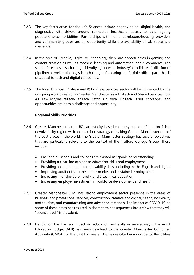- 2.2.3 The key focus areas for the Life Sciences include healthy aging, digital health, and diagnostics with drivers around connected healthcare, access to data, ageing populations/co-morbidities. Partnerships with home developers/housing providers and community groups are an opportunity while the availability of lab space is a challenge.
- 2.2.4 In the area of Creative, Digital & Technology there are opportunities in gaming and content creation as well as machine learning and automation, and e-commerce. The sector faces a skills challenge identifying 'new to industry' candidates (skills future pipeline) as well as the logistical challenge of securing the flexible office space that is of appeal to tech and digital companies.
- 2.2.5 The local Financial, Professional & Business Services sector will be influenced by the on-going work to establish Greater Manchester as a FinTech and Shared Services hub. As LawTech/InsureTech/RegTech catch up with FinTech, skills shortages and opportunities are both a challenge and opportunity.

## **Regional Skills Priorities**

- 2.2.6 Greater Manchester is the UK's largest city-based economy outside of London. It is a devolved city region with an ambitious strategy of making Greater Manchester one of the best places in the world. The Greater Manchester Strategy has several objectives that are particularly relevant to the context of the Trafford College Group. These include:
	- Ensuring all schools and colleges are classed as "good" or "outstanding"
	- Providing a clear line of sight to education, skills and employment
	- Providing an entitlement to employability skills, including maths, English and digital
	- Improving adult entry to the labour market and sustained employment
	- Increasing the take-up of level 4 and 5 technical education
	- Increasing employer investment in workforce development and health.
- 2.2.7 Greater Manchester (GM) has strong employment sector presence in the areas of business and professional services, construction, creative and digital, health, hospitality and tourism, and manufacturing and advanced materials. The impact of COVID-19 on some of these areas has resulted in short-term consequences but a view that they will "bounce back" is prevalent.
- 2.2.8 Devolution has had an impact on education and skills in several ways. The Adult Education Budget (AEB) has been devolved to the Greater Manchester Combined Authority (GMCA) for the past two years. This has resulted in a number of flexibilities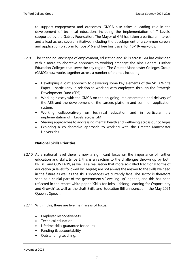to support engagement and outcomes. GMCA also takes a leading role in the development of technical education, including the implementation of T Levels, supported by the Gatsby Foundation. The Mayor of GM has taken a particular interest and a lead across several initiatives including the development of a common careers and application platform for post-16 and free bus travel for 16-18-year-olds.

- 2.2.9 The changing landscape of employment, education and skills across GM has coincided with a more collaborative approach to working amongst the nine General Further Education Colleges that serve the city region. The Greater Manchester Colleges Group (GMCG) now works together across a number of themes including:
	- Developing a joint approach to delivering some key elements of the Skills White Paper – particularly in relation to working with employers through the Strategic Development Fund (SDF)
	- Working closely with the GMCA on the on-going implementation and delivery of the AEB and the development of the careers platform and common application system.
	- Working collaboratively on technical education and in particular the implementation of T Levels across GM
	- Sharing approaches to addressing mental health and wellbeing across our colleges
	- Exploring a collaborative approach to working with the Greater Manchester Universities.

## **National Skills Priorities**

2.2.10 At a national level there is now a significant focus on the importance of further education and skills. In part, this is a reaction to the challenges thrown up by both BREXIT and COVID-19, as well as a realisation that more so-called traditional forms of education (A levels followed by Degree) are not always the answer to the skills we need in the future as well as the skills shortages we currently face. The sector is therefore seen as a crucial part of the government's "levelling up" agenda, and this has been reflected in the recent white paper "Skills for Jobs: Lifelong Learning for Opportunity and Growth" as well as the draft Skills and Education Bill announced in the May 2021 Queen's Speech.

## 2.2.11 Within this, there are five main areas of focus:

- Employer responsiveness
- Technical education
- Lifetime skills guarantee for adults
- Funding & accountability
- Outstanding teaching.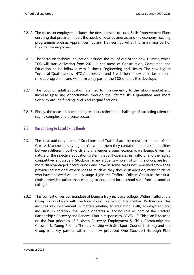- 2.2.12 The focus on employers includes the development of Local Skills Improvement Plans ensuring that provision meets the needs of local businesses and the economy. Existing programmes such as Apprenticeships and Traineeships will still form a major part of the offer for employers.
- 2.2.13 The focus on technical education includes the roll of out of the new T Levels, which TCG will start delivering from 2021 in the areas of Construction, Computing and Education, to be followed with Business, Engineering and Health. The new Higher Technical Qualifications (HTQs) at levels 4 and 5 will then follow a similar national rollout programme and will form a key part of the TCG offer as this develops.
- 2.2.14 The focus on adult education is aimed to improve entry to the labour market and increase upskilling opportunities through the lifetime skills guarantee and more flexibility around funding level 3 adult qualifications.
- 2.2.15 Finally, the focus on outstanding teachers reflects the challenge of attracting talent to such a complex and diverse sector.

## <span id="page-9-0"></span>2.3 Responding to Local Skills Needs

- 2.3.1 The local authority areas of Stockport and Trafford are the most prosperous of the Greater Manchester city region. Yet within them they contain some stark inequalities between different local wards and challenges around economic wellbeing. Given the nature of the selective education system that still operates in Trafford, and the highly competitive landscape in Stockport; many students who enrol with the Group are from more disadvantaged backgrounds and have in some cases not benefited from their previous educational experiences as much as they should. In addition, many students who have achieved well at key stage 4 join the Trafford College Group as their firstchoice provider, rather than electing to enrol at a local school sixth form or another college.
- 2.3.2 This context drives our mandate of being a truly inclusive college. Within Trafford, the Group works closely with the local council as part of the Trafford Partnership. This includes key involvement in matters relating to education, skills, employment and inclusion. In addition, the Group operates a leading role as part of the Trafford Partnership's Recovery and Renewal Plan in response to COVID-19. This plan is focused on the four priorities of Business Recovery, Employment & Skills, Community and Children & Young People. The relationship with Stockport Council is strong and the Group is a key partner within the new proposed One Stockport Borough Plan,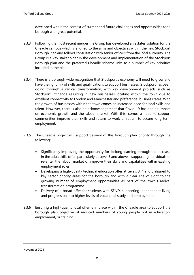developed within the context of current and future challenges and opportunities for a borough with great potential.

- 2.3.3 Following the most recent merger the Group has developed an estates solution for the Cheadle campus which is aligned to the aims and objectives within the new Stockport Borough Plan and follows consultation with senior officers from the local authority. The Group is a key stakeholder in the development and implementation of the Stockport Borough plan and the preferred Cheadle scheme links to a number of key priorities included in the plan.
- 2.3.4 There is a borough wide recognition that Stockport's economy will need to grow and have the right mix of skills and qualifications to support businesses. Stockport has been going through a radical transformation, with key development projects such as Stockport Exchange resulting in new businesses locating within the town due to excellent connectivity to London and Manchester and preferential business rates. With the growth of businesses within the town comes an increased need for local skills and talent. However, there is also an acknowledgement that Covid-19 has had an impact on economic growth and the labour market. With this, comes a need to support communities improve their skills and return to work or retrain to secure long-term employment.
- 2.3.5 The Cheadle project will support delivery of this borough plan priority through the following:
	- Significantly improving the opportunity for lifelong learning through the increase in the adult skills offer, particularly at Level 3 and above – supporting individuals to re-enter the labour market or improve their skills and capabilities within existing employment roles
	- Developing a high-quality technical education offer at Levels 3, 4 and 5 aligned to key sector priority areas for the borough and with a clear line of sight to the growing number of employment opportunities as part of the town's radical transformation programme
	- Delivery of a broad offer for students with SEND, supporting independent living and progression into higher levels of vocational study and employment.
- 2.3.6 Ensuring a high-quality local offer is in place within the Cheadle area to support the borough plan objective of reduced numbers of young people not in education, employment, or training.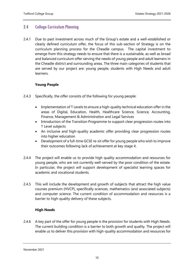## <span id="page-11-0"></span>2.4 College Curriculum Planning

2.4.1 Due to past investment across much of the Group's estate and a well-established or clearly defined curriculum offer, the focus of this sub-section of Strategy is on the curriculum planning process for the Cheadle campus. The capital investment to emerge from this strategy needs to ensure that there is a sustainable, as well as broad and balanced curriculum offer serving the needs of young people and adult learners in the Cheadle district and surrounding areas. The three main categories of students that are served by our project are: young people, students with High Needs and adult learners.

## **Young People**

- 2.4.3 Specifically, the offer consists of the following for young people:
	- Implementation of T Levels to ensure a high-quality technical education offer in the areas of Digital, Education, Health, Healthcare Science, Science, Accounting, Finance, Management & Administration and Legal Services
	- Introduction of the Transition Programme to support clear progression routes into T Level subjects
	- An inclusive and high-quality academic offer providing clear progression routes into higher education
	- Development of a full-time GCSE re-sit offer for young people who wish to improve their outcomes following lack of achievement at key stage 4.
- 2.4.4 The project will enable us to provide high quality accommodation and resources for young people, who are not currently well-served by the poor condition of the estate. In particular, the project will support development of specialist learning spaces for academic and vocational students.
- 2.4.5 This will include the development and growth of subjects that attract the high value courses premium (HVCP), specifically sciences, mathematics (and associated subjects) and computer science. The current condition of accommodation and resources is a barrier to high-quality delivery of these subjects.

## **High Needs**

2.4.6 A key part of the offer for young people is the provision for students with High Needs. The current building condition is a barrier to both growth and quality. The project will enable us to deliver this provision with high-quality accommodation and resources for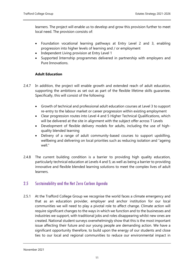learners. The project will enable us to develop and grow this provision further to meet local need. The provision consists of:

- Foundation vocational learning pathways at Entry Level 2 and 3, enabling progression into higher levels of learning and / or employment
- Independent Living provision at Entry Level 1
- Supported Internship programmes delivered in partnership with employers and Pure Innovations.

## **Adult Education**

- 2.4.7 In addition, the project will enable growth and extended reach of adult education, supporting the ambitions as set out as part of the flexible lifetime skills guarantee. Specifically, this will consist of the following:
	- Growth of technical and professional adult education courses at Level 3 to support re-entry to the labour market or career progression within existing employment
	- Clear progression routes into Level 4 and 5 Higher Technical Qualifications, which will be delivered at the site in alignment with the subject offer across T Levels
	- Development of flexible delivery models for adults, including the use of highquality blended learning
	- Delivery of a range of adult community-based courses to support upskilling, wellbeing and delivering on local priorities such as reducing isolation and "ageing well."
- 2.4.8 The current building condition is a barrier to providing high quality education, particularly technical education at Levels 4 and 5; as well as being a barrier to providing innovative and flexible blended learning solutions to meet the complex lives of adult learners.

## <span id="page-12-0"></span>2.5 Sustainability and the Net Zero Carbon Agenda

2.5.1 At the Trafford College Group we recognise the world faces a climate emergency and that as an education provider, employer and anchor institution for our local communities we will need to play a pivotal role to affect change. Climate action will require significant changes to the ways in which we function and to the businesses and industries we support, with traditional jobs and roles disappearing whilst new ones are created. National student surveys overwhelmingly show that this is the most important issue affecting their future and our young people are demanding action. We have a significant opportunity therefore, to build upon the energy of our students and close ties to our local and regional communities to reduce our environmental impact in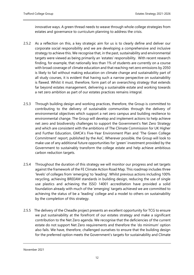innovative ways. A green thread needs to weave through whole college strategies from estates and governance to curriculum planning to address the crisis.

- 2.5.2 As a reflection on this, a key strategic aim for us is to clearly define and deliver our corporate social responsibility and we are developing a comprehensive and inclusive strategy to achieve this. We recognise that, in the past, sustainability and environmental targets were viewed as being primarily an 'estates' responsibility. With recent research finding, for example, that nationally less than 1% of students are currently on a course with broad coverage of climate education and that reaching net zero emissions by 2050 is likely to fail without making education on climate change and sustainability part of all study courses, it is evident that having such a narrow perspective on sustainability is flawed. Whilst it must, therefore, form part of an overarching strategy that extends far beyond estates management, delivering a sustainable estate and working towards a net zero ambition as part of our estates practices remains integral.
- 2.5.3 Through building design and working practices, therefore, the Group is committed to contributing to the delivery of sustainable communities through the delivery of environmental objectives which support a net zero campus and building resilience to environmental change. The Group will develop and implement actions to help achieve net zero and biodiversity challenges to support the Government's Net Zero Strategy and which are consistent with the ambitions of The Climate Commission for UK Higher and Further Education, GMCA's Five-Year Environment Plan and 'The Green College Commitment' report, published by the AoC. Wherever possible, the Group will look to make use of any additional future opportunities for 'green' investment provided by the Government to sustainably transform the college estate and help achieve ambitious carbon reduction targets.
- 2.5.4 Throughout the duration of this strategy we will monitor our progress and set targets against the framework of the FE Climate Action Road Map. This roadmap includes three 'levels' of colleges from 'emerging' to 'leading'. Whilst previous actions including 100% recycling, achieving BREEAM standards in building design, reducing the use of single use plastics and achieving the ISSO 14001 accreditation have provided a solid foundation already with much of the 'emerging' targets achieved we are committed to achieving the status of be a 'leading' college and a model to others on sustainability by the completion of this strategy.
- 2.5.5 The delivery of the Cheadle project presents an excellent opportunity for TCG to ensure we put sustainability at the forefront of our estates strategy and make a significant contribution to the Net Zero agenda. We recognise that the deficiencies of the current estate do not support Net Zero requirements and therefore the 'do minimum' option also fails. We have, therefore, challenged ourselves to ensure that the building design for the preferred option meets the Government's targets for sustainability and Climate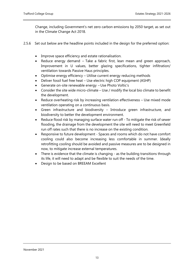Change, including Government's net zero carbon emissions by 2050 target, as set out in the Climate Change Act 2018.

- 2.5.6 Set out below are the headline points included in the design for the preferred option:
	- Improve space efficiency and estate rationalisation.
	- Reduce energy demand Take a fabric first, lean mean and green approach, Improvement in U values, better glazing specifications, tighter infiltration/ ventilation towards Passive Haus principles.
	- Optimise energy efficiency Utilise current energy reducing methods
	- Deliver fossil fuel free heat Use electric high COP equipment (ASHP)
	- Generate on-site renewable energy Use Photo Voltic's
	- Consider the site wide micro-climate Use / modify the local bio climate to benefit the development.
	- Reduce overheating risk by increasing ventilation effectiveness Use mixed mode ventilation operating on a continuous basis.
	- Green infrastructure and biodiversity Introduce green infrastructure, and biodiversity to better the development environment.
	- Reduce flood risk by managing surface water run off To mitigate the risk of sewer flooding, the drainage from the development the site will need to meet Greenfield run off rates such that there is no increase on the existing condition.
	- Responsive to future development Spaces and rooms which do not have comfort cooling could also become increasing less comfortable in summer. Ideally retrofitting cooling should be avoided and passive measures are to be designed in now, to mitigate increase external temperatures.
	- There is evidence that the climate is changing as the building transitions through its life, it will need to adapt and be flexible to suit the needs of the time.
	- Design to be based on BREEAM Excellent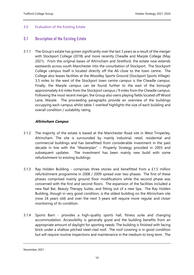## <span id="page-15-0"></span>3.0 Evaluation of the Existing Estate

## <span id="page-15-1"></span>3.1 Description of the Existing Estate

3.1.1 The Group's estate has grown significantly over the last 3 years as a result of the merger with Stockport College (2018) and more recently Cheadle and Marple College (May 2021). From the original bases of Altrincham and Stretford, the estate now extends eastwards across south Manchester into the conurbation of Stockport. The Stockport College campus itself is located directly off the A6 close to the town centre. The College also leases facilities at the Woodley Sports Ground (Stockport Sports Village). 3.5 miles to the west of the Stockport town centre campus is the Cheadle campus. Finally, the Marple campus can be found further to the east of the borough approximately 4.6 miles from the Stockport campus / 9 miles from the Cheadle campus. Following the most recent merger, the Group also owns playing fields located off Wood Lane, Marple. The proceeding paragraphs provide an overview of the buildings occupying each campus whilst table 1 overleaf highlights the size of each building and overall condition / suitability rating.

## **Altrincham Campus**

- 3.1.2 The majority of the estate is based at the Manchester Road site in West Timperley, Altrincham. The site is surrounded by mainly industrial, retail, residential and commercial buildings and has benefitted from considerable investment in the past decade in line with the "Masterplan" – Property Strategy provided in 2003 and subsequent updates. The investment has been mainly new build with some refurbishment to existing buildings.
- 3.1.3 Ray Holden Building comprises three stories and benefitted from a £1.5 million refurbishment programme in 2008 / 2009 spread over two phases. The first of these phases comprised mainly ground floor modifications while the second phase was concerned with the first and second floors. The expansion of the facilities included a new Nail Bar, Beauty Therapy Suites, and fitting out of a new Spa. The Ray Holden Building, though in very good condition, is the oldest building on the Altrincham site (now 24 years old) and over the next 5-years will require more regular and closer monitoring of its condition.
- 3.1.4 Sports Barn provides a high-quality sports hall, fitness suite and changing accommodation. Accessibility is generally good and the building benefits from an appropriate amount of daylight for sporting needs. The building is finished with facing brick under a shallow pitched steel-clad roof. The roof covering is in good condition but will require routine inspections and maintenance in the medium to long term. The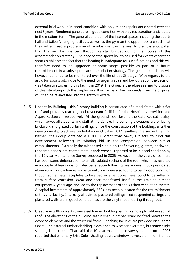external brickwork is in good condition with only minor repairs anticipated over the next 5 years. Rendered panels are in good condition with only redecoration anticipated in the medium term. The general condition of the internal spaces including the sports hall and toilets/changing facilities, as well as the gym on the upper floor are such that they will all need a programme of refurbishment in the near future. It is anticipated that this will be financed through capital budget during the course of this accommodation strategy. The need for the sports hall to be used for events other than sports highlights the fact that the heating is inadequate for such functions and this will therefore need to be upgraded at some stage, possibly as part of a future refurbishment in a subsequent accommodation strategy. The general condition will however continue to be monitored over the life of this Strategy. With regards to the astro turf sports pitch, due to the need for urgent repair and low utilisation the decision was taken to stop using this facility in 2019. The Group is therefore seeking to dispose of this site along with the surplus overflow car park. Any proceeds from the disposal will then be re-invested into the Trafford estate.

- 3.1.5 Hospitality Building this 3-storey building is constructed of a steel frame with a flat roof and provides teaching and restaurant facilities for the Hospitality provision and Aspire Restaurant respectively. At the ground floor level is the Café Retreat facility, which serves all students and staff at the Centre. The building elevations are of facing brickwork and glazed curtain walling. Since the construction of the building, a further development project was undertaken in October 2017 resulting in a second training kitchen, the Group obtained a £100,000 grant from Savoy Projects, to fund this development following its winning bid in the competition between similar establishments. Externally the rubberised single ply roof covering, gutters, brickwork, rendered panels; pre-coated metal panels were all reported to be in good condition by the 10-year Maintenance Survey produced in 2008. However, in the years since there has been some deterioration to small, isolated sections of the roof, which has resulted in a couple of leaks due to water penetration following heavy rains. Both pre-coated aluminium window frames and external doors were also found to be in good condition though some metal faceplates to localised external doors were found to be suffering from surface corrosion. Wear and tear manifested itself in the Training Kitchen equipment 4-years ago and led to the replacement of the kitchen ventilation system. A capital investment of approximately £50k has been allocated for the refurbishment of this vital facility. Internally all painted plastered ceilings tiled suspended ceilings and plastered walls are in good condition, as are the vinyl sheet flooring throughout.
- 3.1.6 Creative Arts Block a 3 storey steel framed building having a single ply rubberised flat roof. The elevations of the building are finished in timber boarding fixed between the exposed elements and the structural frame. Teaching facilities are provided on all three floors. The external timber cladding is designed to weather over time, but some slight staining is apparent. That said, the 10-year maintenance survey carried out in 2008 reported that externally Brise Soleil shading louvres, window frames, aluminium framed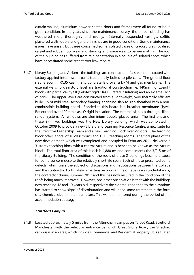curtain walling, aluminium powder coated doors and frames were all found to be in good condition. In the years since the maintenance survey, the timber cladding has weathered more thoroughly and evenly. Internally suspended ceilings, soffits, plastered walls, doors and general finishes are in good condition. Some maintenance issues have arisen, but these concerned some isolated cases of cracked tiles, localised carpet and rubber floor wear and staining, and some wear to barrier matting. The roof of the building has suffered from rain penetration in a couple of isolated spots, which have necessitated some recent roof leak repairs.

3.1.7 Library Building and Atrium - the buildings are constructed of a steel frame coated with factory applied intumescent paint traditionally bolted to pile caps. The ground floor slab is 300mm RC35 cast in situ concrete laid over a DPM and gas membrane. The external walls to clearstory level are traditional construction i.e. 140mm lightweight block with partial cavity fill (Celotex rigid Class O rated insulation) and an external skin of brick. The upper levels are constructed from a lightweight, very thermally efficient build-up of mild steel secondary framing, spanning slab to slab sheathed with a noncombustible building board. Bonded to this board is a breather membrane (Tyvek Reflex) and over 100mm class O rigid insulation. The external skin is a through silicon render system. All windows are aluminium double-glazed units. The first phase of these 2- linked buildings was the New Library building, which was completed in October 2009 to provide a new Library and Learning Resource Centre, a new suite for the Executive Leadership Team and a new Teaching Block over 2-floors. The teaching block offers a total of 10 classrooms and 15 I.T. teaching rooms. The final phase of the new development, which was completed and occupied in February 2011, delivered a 3-storey teaching block with a central Atrium and is hence to be known as the Atrium block. The total floor area of this block is 4,880  $m^2$  and compliments the 3,715  $m^2$  of the Library Building. The condition of the roofs of these 2-buildings became a cause for some concern despite the relatively short life span. Both of these presented some defects, which were the subject of discussions and negotiations between the College and the contractor. Fortunately, an extensive programme of repairs was undertaken by the contractor during summer 2017 and this has now resulted in the condition of the roofs being much improved. However, one other observation is that with the buildings now reaching 12 and 10 years old, respectively the external rendering to the elevations has started to show signs of discolouration and will need some treatment in the form of a chemical clean in the near future. This will be monitored during the period of the accommodation strategy.

## **Stretford Campus**

3.1.8 Located approximately 5 miles from the Altrincham campus on Talbot Road, Stretford, Manchester with the vehicular entrance being off Great Stone Road, the Stretford campus is in an area, which includes Commercial and Residential property. It is situated

November 2021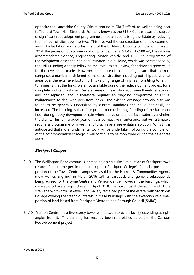opposite the Lancashire County Cricket ground at Old Trafford, as well as being near to Trafford Town Hall, Stretford. Formerly known as the STEM Centre it was the subject of significant redevelopment programme aimed at rationalising the Estate by reducing the number of sites down to two. This involved the construction of a new extension and full adaptation and refurbishment of the building. Upon its completion in March 2014, the provision of accommodation provided has a GIFA of 12,900  $m^2$ ; the campus accommodates Science, Engineering, Motor Vehicle and IT. The programme of redevelopment described earlier culminated in a building, which was commended by the Skills Funding Agency following the Post Project Review, for achieving good value for the investment made. However, the nature of this building is such that the roof comprises a number of different forms of construction including both hipped and flat areas over the extensive footprint. This varying range of finishes from tiling to felt, in turn means that the funds were not available during the redevelopment project for a complete roof refurbishment. Several areas of the existing roof were therefore repaired and not replaced, and it therefore requires an ongoing programme of annual maintenance to deal with persistent leaks. The existing drainage network also was found to be generally undersized by current standards and could not easily be increased. The building is therefore prone to experiencing flooding of the Basement floor during heavy downpour of rain when the volume of surface water overwhelms the drains. This is managed year on year by reactive maintenance but will ultimately require a programme of investment to achieve a preventative solution. Whilst it is anticipated that more fundamental work will be undertaken following the completion of the accommodation strategy, it will continue to be monitored during the next three years.

## **Stockport Campus**

- 3.1.9 The Wellington Road campus is located on a single site just outside of Stockport town centre. Prior to merger, in order to support Stockport College's financial position, a portion of the Town Centre campus was sold to the Homes & Communities Agency (now Homes England) in March 2016 with a leaseback arrangement subsequently being agreed for the Lyme Centre and Vernon Centre. However, the buildings, which were sold off, were re-purchased in April 2018. The buildings at the south end of the site - the Whitworth, Bakewell and Gallery remained part of the estate, with Stockport College owning the freehold interest in these buildings, with the exception of a small portion of land leased from Stockport Metropolitan Borough Council (SMBC).
- 3.1.10 Vernon Centre is a five-storey tower with a two-storey art facility extending at right angles from it. This building has recently been refurbished as part of the Campus Redevelopment project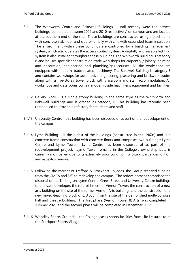- 3.1.11 The Whitworth Centre and Bakewell Buildings until recently were the newest buildings (completed between 2009 and 2010 respectively) on campus and are located at the southern end of the site. These buildings are constructed using a steel frame with concrete slab floor and clad externally with zinc with expanded foam insulation. The environment within these buildings are controlled by a building management system, which also operates the access control system. A digitally addressable lighting system is also installed throughout these buildings. The Whitworth Building is category B and houses specialist construction trade workshops for carpentry / joinery, painting and decoration, engineering and plumbing/gas courses. All the workshops are equipped with modern, trade related machinery. The Bakewell Building is category B and contains workshops for automotive engineering, plastering and brickwork trades along with a five-storey tower block with classroom and staff accommodation. All workshops and classrooms contain modern trade machinery, equipment and facilities.
- 3.1.12 Gallery Block is a single storey building in the same style as the Whitworth and Bakewell buildings and is graded as category B. This building has recently been remodelled to provide a refectory for students and staff.
- 3.1.13 University Centre this building has been disposed of as part of the redevelopment of the campus.
- 3.1.14 Lyme Building is the oldest of the buildings (constructed in the 1960s) and is a concrete frame construction with concrete floors and comprises two buildings: Lyme Centre and Lyme Tower. Lyme Centre has been disposed of as part of the redevelopment project. Lyme Tower remains in the College's ownership buts is currently mothballed due to its extremely poor condition following partial demolition and asbestos removal.
- 3.1.15 Following the merger of Trafford & Stockport Colleges, the Group received funding from the GMCA and DfE to redevelop the campus. The redevelopment comprised the disposal of the Torkington, Lyme Centre, Greek Street and University Centre buildings to a private developer; the refurbishment of Vernon Tower; the construction of a new arts building on the site of the former Vernon Arts building; and the construction of a new mixed-teaching block of c. 3,000m<sup>2</sup> on the site of the demolished multi-purpose hall and theatre building. The first phase (Vernon Tower & Arts) was completed in summer 2021 and the second phase will be completed in December 2022.
- 3.1.16 Woodley Sports Grounds the College leases sports facilities from Life Leisure Ltd at the Stockport Sports Village.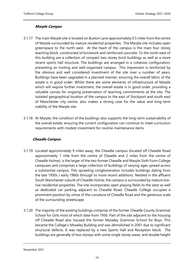## **Marple Campus**

- 3.1.17 The main Marple site is located on Buxton Lane approximately 0.5 miles from the centre of Marple surrounded by mature residential properties. The Marple site includes open greenspace to the north west. At the heart of the campus is the main four storey teaching block, constructed of brickwork and reinforced concrete. To the north west of this building are a collection of compact two storey brick buildings as well as a more recent sports hall structure. The buildings are arranged in a cohesive configuration, presenting an inviting and well-organised campus. This impression is reinforced by the obvious and well considered investment of the site over a number of years. Buildings have been upgraded in a planned manner, ensuring the overall fabric of the estate is in good order. Whilst there are some elements of infrastructure of Marple which will require further investment, the overall estate is in good order, providing a valuable canvas for ongoing preservation of teaching commitments at the site. The isolated geographical location of the campus to the east of Stockport and south east of Manchester city centre, also makes a strong case for the value and long-term viability of the Marple site.
- 3.1.18 At Marple, the condition of the buildings also supports the long-term sustainability of the overall estate, ensuring the current configuration can continue to meet curriculum requirements with modest investment for routine maintenance items.

## **Cheadle Campus**

- 3.1.19 Located approximately 9 miles away, the Cheadle campus (located off Cheadle Road approximately 1 mile from the centre of Cheadle and 2 miles from the centre of Cheadle Hulme), is the larger of the two former Cheadle and Marple Sixth Form College campuses and comprises a large collection of buildings of varying ages spread across a substantial campus. This sprawling conglomeration includes buildings dating from the late 1950s / early 1960s through to more recent additions. Nestled in the affluent South Manchester suburb of Cheadle Hulme, the campus is surrounded by mature lowrise residential properties. The site incorporates open playing fields to the west as well as dedicated car parking adjacent to Cheadle Road. Cheadle College occupies a prominent position by virtue of the curvature of Cheadle Road and the generous scale of the surrounding streetscape.
- 3.1.20 The majority of the existing buildings comprise of the former Cheadle County Grammar School for Girls most of which date from 1956. Part of the site adjacent to the housing off Cheadle Road also housed the former Moseley Grammar School for Boys. This became the College's Moseley Building and was demolished in 2001 due to significant structural defects. It was replaced by a new Sports Hall and Reception block. The buildings are generally of two storeys with some single storey areas, and double height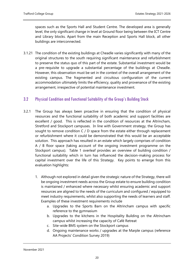spaces such as the Sports Hall and Student Centre. The developed area is generally level, the only significant change in level at Ground floor being between the ICT Centre and Library blocks. Apart from the main Reception and Sports Hall block, all other buildings are interconnected.

3.1.21 The condition of the existing buildings at Cheadle varies significantly with many of the original structures to the south requiring significant maintenance and refurbishment to preserve the status quo of this part of the estate. Substantial investment would be a pre-requisite to upgrade a substantial percentage of the buildings at Cheadle. However, this observation must be set in the context of the overall arrangement of the existing campus. The fragmented and circuitous configuration of the current accommodation ultimately limits the efficiency, quality and provenance of the existing arrangement, irrespective of potential maintenance investment.

## <span id="page-21-0"></span>3.2 Physical Condition and Functional Suitability of the Group's Building Stock

- 3.2.1 The Group has always been proactive in ensuring that the condition of physical resources and the functional suitability of both academic and support facilities are excellent / good. This is reflected in the condition of resources at the Altrincham, Stretford and Stockport campuses. In line with Government strategy, the Group has sought to remove condition C / D space from the estate either through replacement or refurbishment where it could be demonstrated that this would be an acceptable solution. This approach has resulted in an estate which largely comprises of condition A / B floor space (taking account of the ongoing investment programme on the Stockport campus). Table 1 overleaf provides an overview of building condition / functional suitability which in turn has influenced the decision-making process for capital investment over the life of this Strategy. Key points to emerge from this evaluation highlights:
	- 1. Although not explored in detail given the strategic nature of the Strategy, there will be ongoing investment needs across the Group estate to ensure building condition is maintained / enhanced where necessary whilst ensuring academic and support resources are aligned to the needs of the curriculum and configured / equipped to meet industry requirements, whilst also supporting the needs of learners and staff. Examples of these investment requirements include
		- a. Upgrades to the Sports Barn on the Altrincham campus with specific reference to the gymnasium
		- b. Upgrades to the kitchens in the Hospitality Building on the Altrincham campus whilst increasing the capacity of Café Retreat
		- c. Site-wide BMS system on the Stockport campus
		- d. Ongoing maintenance works / upgrades at the Marple campus (reference AA Projects' Condition Survey 2019)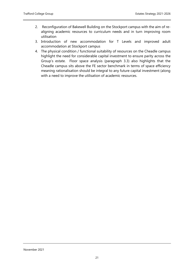- 2. Reconfiguration of Bakewell Building on the Stockport campus with the aim of realigning academic resources to curriculum needs and in turn improving room utilisation
- 3. Introduction of new accommodation for T Levels and improved adult accommodation at Stockport campus
- 4. The physical condition / functional suitability of resources on the Cheadle campus highlight the need for considerable capital investment to ensure parity across the Group's estate. Floor space analysis (paragraph 3.3) also highlights that the Cheadle campus sits above the FE sector benchmark in terms of space efficiency meaning rationalisation should be integral to any future capital investment (along with a need to improve the utilisation of academic resources.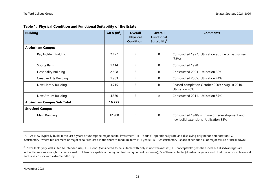| <b>Building</b>                    | GIFA(m <sup>2</sup> ) | <b>Overall</b><br><b>Physical</b><br>Condition <sup>1</sup> | <b>Overall</b><br><b>Functional</b><br>Suitability <sup>2</sup> | <b>Comments</b>                                                                         |
|------------------------------------|-----------------------|-------------------------------------------------------------|-----------------------------------------------------------------|-----------------------------------------------------------------------------------------|
| <b>Altrincham Campus</b>           |                       |                                                             |                                                                 |                                                                                         |
| Ray Holden Building                | 2,477                 | B                                                           | B                                                               | Constructed 1997. Utilisation at time of last survey<br>(38%)                           |
| Sports Barn                        | 1,114                 | B                                                           | B                                                               | Constructed 1998                                                                        |
| <b>Hospitality Building</b>        | 2,608                 | B                                                           | B                                                               | Constructed 2003. Utilisation 39%                                                       |
| <b>Creative Arts Building</b>      | 1,983                 | B                                                           | B                                                               | Constructed 2005. Utilisation 41%                                                       |
| New Library Building               | 3,715                 | B                                                           | B                                                               | Phased completion October 2009 / August 2010.<br>Utilisation 46%                        |
| New Atrium Building                | 4,880                 | B                                                           | A                                                               | Constructed 2011. Utilisation 57%                                                       |
| <b>Altrincham Campus Sub Total</b> | 16,777                |                                                             |                                                                 |                                                                                         |
| <b>Stretford Campus</b>            |                       |                                                             |                                                                 |                                                                                         |
| Main Building                      | 12,900                | B                                                           | B                                                               | Constructed 1940s with major redevelopment and<br>new build extensions. Utilisation 38% |

|  | Table 1: Physical Condition and Functional Suitability of the Estate |  |  |  |
|--|----------------------------------------------------------------------|--|--|--|
|--|----------------------------------------------------------------------|--|--|--|

 $1A - 4$ s New (typically build in the last 5 years or undergone major capital investment); B – 'Sound' (operationally safe and displaying only minor deterioration); C – 'Satisfactory' (where replacement or major repair required in the short to medium-term (3-5 years)); D – 'Unsatisfactory' (space at serious risk of major failure or breakdown)

<sup>&</sup>lt;sup>2</sup> I 'Excellent' (very well suited to intended use); II – 'Good' (considered to be suitable with only minor weaknesses); III – 'Acceptable' (less than ideal but disadvantages are judged to serious enough to create a real problem or capable of being rectified using current resources); IV – 'Unacceptable' (disadvantages are such that use is possible only at excessive cost or with extreme difficulty)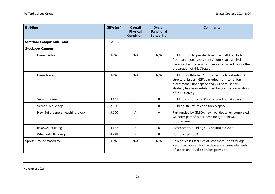| <b>Building</b>                   | GIFA $(m2)$ | <b>Overall</b><br><b>Physical</b><br>Condition <sup>1</sup> | <b>Overall</b><br><b>Functional</b><br>Suitability <sup>2</sup> | <b>Comments</b>                                                                                                                                                                                                                   |
|-----------------------------------|-------------|-------------------------------------------------------------|-----------------------------------------------------------------|-----------------------------------------------------------------------------------------------------------------------------------------------------------------------------------------------------------------------------------|
| <b>Stretford Campus Sub Total</b> | 12,900      |                                                             |                                                                 |                                                                                                                                                                                                                                   |
| <b>Stockport Campus</b>           |             |                                                             |                                                                 |                                                                                                                                                                                                                                   |
| Lyme Centre                       | N/A         | N/A                                                         | N/A                                                             | Building sold to private developer. GIFA excluded<br>from condition assessment / floor space analysis<br>because this strategy has been established before the<br>preparation of this Strategy                                    |
| Lyme Tower                        | N/A         | N/A                                                         | N/A                                                             | Building mothballed / unusable due to asbestos &<br>structural issues. GIFA excluded from condition<br>assessment / floor space analysis because this<br>strategy has been established before the preparation<br>of this Strategy |
| Vernon Tower                      | 3,131       | B                                                           | B                                                               | Building comprises 278 m <sup>2</sup> of condition A space                                                                                                                                                                        |
| Vernon Workshop                   | 2,806       | B                                                           | B                                                               | Building 380 $m^2$ of condition A space                                                                                                                                                                                           |
| New Build general teaching block  | 3,000       | A                                                           | A                                                               | Part funded by GMCA, new facilities when completed<br>will form part of wider post-merger renewal<br>programme                                                                                                                    |
| <b>Bakewell Building</b>          | 4,127       | B                                                           | B                                                               | Incorporates Building C. Constructed 2010                                                                                                                                                                                         |
| Whitworth Building                | 4,738       | В                                                           | B                                                               | Constructed 2009                                                                                                                                                                                                                  |
| Sports Ground Woodley             | N/A         | N/A                                                         | N/A                                                             | College leases facilities at Stockport Sports Village.<br>Resources utilised for the delivery of some elements<br>of sports and public services provision                                                                         |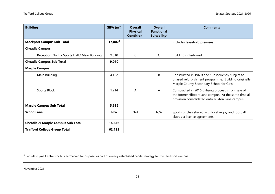| <b>Building</b>                               | GIFA(m <sup>2</sup> ) | <b>Overall</b><br><b>Physical</b><br>Condition <sup>1</sup> | <b>Overall</b><br><b>Functional</b><br>Suitability <sup>2</sup> | <b>Comments</b>                                                                                                                                               |
|-----------------------------------------------|-----------------------|-------------------------------------------------------------|-----------------------------------------------------------------|---------------------------------------------------------------------------------------------------------------------------------------------------------------|
| <b>Stockport Campus Sub Total</b>             | $17,802^3$            |                                                             |                                                                 | Excludes leasehold premises                                                                                                                                   |
| <b>Cheadle Campus</b>                         |                       |                                                             |                                                                 |                                                                                                                                                               |
| Reception Block / Sports Hall / Main Building | 9,010                 | C                                                           | C                                                               | <b>Buildings interlinked</b>                                                                                                                                  |
| <b>Cheadle Campus Sub Total</b>               | 9,010                 |                                                             |                                                                 |                                                                                                                                                               |
| <b>Marple Campus</b>                          |                       |                                                             |                                                                 |                                                                                                                                                               |
| Main Building                                 | 4,422                 | B                                                           | B                                                               | Constructed in 1960s and subsequently subject to<br>phased refurbishment programme. Building originally<br>Marple County Secondary School for Girls           |
| Sports Block                                  | 1,214                 | A                                                           | A                                                               | Constructed in 2016 utilising proceeds from sale of<br>the former Hibbert Lane campus. At the same time all<br>provision consolidated onto Buxton Lane campus |
| <b>Marple Campus Sub Total</b>                | 5,636                 |                                                             |                                                                 |                                                                                                                                                               |
| <b>Wood Lane</b>                              | N/A                   | N/A                                                         | N/A                                                             | Sports pitches shared with local rugby and football<br>clubs via licence agreements                                                                           |
| <b>Cheadle &amp; Marple Campus Sub Total</b>  | 14,646                |                                                             |                                                                 |                                                                                                                                                               |
| <b>Trafford College Group Total</b>           | 62,125                |                                                             |                                                                 |                                                                                                                                                               |

 $^3$  Excludes Lyme Centre which is earmarked for disposal as part of already established capital strategy for the Stockport campus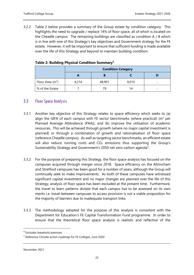3.2.2 Table 2 below provides a summary of the Group estate by condition category. This highlights the need to upgrade / replace 14% of floor space, all of which is located on the Cheadle campus. The remaining buildings are classified as condition A / B which is in line with one of this Strategy's key objectives and Government strategy for the FE estate. However, it will be important to ensure that sufficient funding is made available over the life of this Strategy and beyond to maintain building condition.

|                    | <b>Condition Category</b> |        |       |  |  |  |  |  |
|--------------------|---------------------------|--------|-------|--|--|--|--|--|
|                    |                           |        |       |  |  |  |  |  |
| Floor Area $(m^2)$ | 4,214                     | 48,901 | 9,010 |  |  |  |  |  |
| % of the Estate    |                           | 7с     |       |  |  |  |  |  |

## **Table 2: Building Physical Condition Summary<sup>4</sup>**

## <span id="page-26-0"></span>3.3 Floor Space Analysis

- 3.3.1 Another key objective of this Strategy relates to space efficiency which seeks to (a) align the GIFA of each campus with FE sector benchmarks (where practical) ( $m^2$  per Planned Average Attendance (PAA)), and (b) improve the utilisation of academic resources. This will be achieved through growth (where no major capital investment is planned) or through a combination of growth and rationalisation of floor space (reference Cheadle campus). As well as targeting sector benchmarks, an efficient estate will also reduce running costs and  $CO<sub>2</sub>$  emissions thus supporting the Group's Sustainability Strategy and Government's 2050 net zero carbon agenda<sup>5</sup>.
- 3.3.2 For the purpose of preparing this Strategy, the floor space analysis has focused on the campuses acquired through merger since 2018. Space efficiency on the Altrincham and Stretford campuses has been good for a number of years, although the Group will continually seek to make improvements. As both of these campuses have witnessed significant capital investment and no major changes are planned over the life of this Strategy, analysis of floor space has been excluded at the present time. Furthermore, the travel to learn patterns dictate that each campus has to be assessed on its own merits i.e. travel between campuses to access provision is not a viable proposition for the majority of learners due to inadequate transport links.
- 3.3.3 The methodology adopted for the purpose of this analysis is consistent with the Department for Education's FE Capital Transformation Fund programme. In order to ensure that the theoretical floor space analysis is realistic and reflective of the

<sup>4</sup> Excludes leasehold premises

<sup>5</sup> Reference Climate action roadmap for FE Colleges, June 2020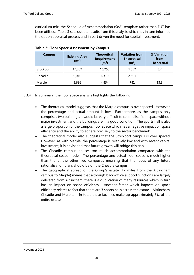curriculum mix, the Schedule of Accommodation (SoA) template rather than EUT has been utilised. Table 3 sets out the results from this analysis which has in turn informed the option appraisal process and in part driven the need for capital investment.

| <b>Campus</b> | <b>Existing Area</b><br>(m <sup>2</sup> ) | <b>Theoretical</b><br><b>Requirement</b><br>(m <sup>2</sup> ) | <b>Variation from</b><br><b>Theoretical</b><br>(m <sup>2</sup> ) | % Variation<br>from<br><b>Theoretical</b> |  |
|---------------|-------------------------------------------|---------------------------------------------------------------|------------------------------------------------------------------|-------------------------------------------|--|
| Stockport     | 17,802                                    | 16,250                                                        | 1,552                                                            | 8.7                                       |  |
| Cheadle       | 9.010                                     | 6,319                                                         | 2,691                                                            | 30                                        |  |
| Marple        | 5,636                                     | 4,854                                                         | 782                                                              | 13.9                                      |  |

| <b>Table 3: Floor Space Assessment by Campus</b> |
|--------------------------------------------------|
|--------------------------------------------------|

- 3.3.4 In summary, the floor space analysis highlights the following:
	- The theoretical model suggests that the Marple campus is over spaced. However, the percentage and actual amount is low. Furthermore, as the campus only comprises two buildings, it would be very difficult to rationalise floor space without major investment and the buildings are in a good condition. The sports hall is also a large proportion of the campus floor space which has a negative impact on space efficiency and the ability to adhere precisely to the sector benchmark
	- The theoretical model also suggests that the Stockport campus is over spaced. However, as with Marple, the percentage is relatively low and with recent capital investment, it is envisaged that future growth will bridge this gap
	- The Cheadle campus houses too much accommodation compared with the theoretical space model. The percentage and actual floor space is much higher than the at the other two campuses meaning that the focus of any future rationalisation plans should be on the Cheadle campus
	- The geographical spread of the Group's estate (17 miles from the Altrincham campus to Marple) means that although back-office support functions are largely delivered from Altrincham, there is a duplication of many resources which in turn has an impact on space efficiency. Another factor which impacts on space efficiency relates to fact that there are 3 sports halls across the estate – Altrincham, Cheadle and Marple. In total, these facilities make up approximately 5% of the entire estate.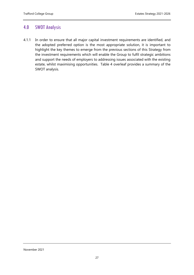## <span id="page-28-0"></span>4.0 SWOT Analysis

4.1.1 In order to ensure that all major capital investment requirements are identified, and the adopted preferred option is the most appropriate solution, it is important to highlight the key themes to emerge from the previous sections of this Strategy from the investment requirements which will enable the Group to fulfil strategic ambitions and support the needs of employers to addressing issues associated with the existing estate, whilst maximising opportunities. Table 4 overleaf provides a summary of the SWOT analysis.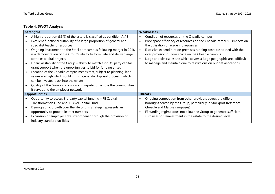## **Table 4: SWOT Analysis**

| <b>Strengths</b>                                                             |           | <b>Weaknesses</b>                                                       |
|------------------------------------------------------------------------------|-----------|-------------------------------------------------------------------------|
| A high proportion (86%) of the estate is classified as condition A / B       |           | Condition of resources on the Cheadle campus                            |
| Excellent functional suitability of a large proportion of general and        |           | Poor space efficiency of resources on the Cheadle campus – impacts on   |
| specialist teaching resources                                                |           | the utilisation of academic resources                                   |
| Ongoing investment on the Stockport campus following merger in 2018          | $\bullet$ | Excessive expenditure on premises running costs associated with the     |
| is a demonstration of the Group's ability to formulate and deliver large,    |           | over provision of floor space on the Cheadle campus                     |
| complex capital projects                                                     | $\bullet$ | Large and diverse estate which covers a large geographic area difficult |
| Financial stability of the Group – ability to match fund $3rd$ party capital |           | to manage and maintain due to restrictions on budget allocations        |
| grant support when the opportunities to bid for funding arises               |           |                                                                         |
| Location of the Cheadle campus means that, subject to planning, land         |           |                                                                         |
| values are high which could in turn generate disposal proceeds which         |           |                                                                         |
| can be invested back into the estate                                         |           |                                                                         |
| Quality of the Group's provision and reputation across the communities       |           |                                                                         |
| it serves and the employer network                                           |           |                                                                         |
| <b>Opportunities</b>                                                         |           | <b>Threats</b>                                                          |
| Opportunity to access 3rd party capital funding - FE Capital                 |           | Ongoing competition from other providers across the different           |
| Transformation Fund and T-Level Capital Fund                                 |           | boroughs served by the Group, particularly in Stockport (reference      |
| Demographic growth over the life of this Strategy represents an              |           | Cheadle and Marple campuses)                                            |
| opportunity to growth learner numbers                                        |           | FE funding regime does not allow the Group to generate sufficient       |
| Expansion of employer links strengthened through the provision of            |           | surpluses for reinvestment in the estate to the desired level           |
| industry standard facilities                                                 |           |                                                                         |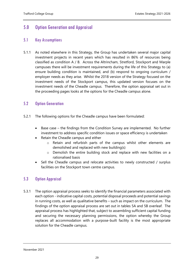## <span id="page-30-0"></span>5.0 Option Generation and Appraisal

## <span id="page-30-1"></span>5.1 Key Assumptions

5.1.1 As noted elsewhere in this Strategy, the Group has undertaken several major capital investment projects in recent years which has resulted in 86% of resources being classified as condition A / B. Across the Altrincham, Stretford, Stockport and Marple campuses there will be investment requirements during the life of this Strategy to (a) ensure building condition is maintained, and (b) respond to ongoing curriculum / employer needs as they arise. Whilst the 2018 version of the Strategy focused on the investment needs of the Stockport campus, this updated version focuses on the investment needs of the Cheadle campus. Therefore, the option appraisal set out in the proceeding pages looks at the options for the Cheadle campus alone.

## <span id="page-30-2"></span>5.2 Option Generation

- 5.2.1 The following options for the Cheadle campus have been formulated:
	- Base case the findings from the Condition Survey are implemented. No further investment to address specific condition issues or space efficiency is undertaken
	- Retain the Cheadle campus and either
		- o Retain and refurbish parts of the campus whilst other elements are demolished and replaced with new building(s)
		- o Demolish the entire building stock and replace with new facilities on a rationalised basis
	- Sell the Cheadle campus and relocate activities to newly constructed / surplus facilities on the Stockport town centre campus.

## <span id="page-30-3"></span>5.3 Option Appraisal

5.3.1 The option appraisal process seeks to identify the financial parameters associated with each option - indicative capital costs, potential disposal proceeds and potential savings in running costs, as well as qualitative benefits – such as impact on the curriculum. The findings of the option appraisal process are set out in tables 5A and 5B overleaf. The appraisal process has highlighted that, subject to assembling sufficient capital funding and securing the necessary planning permissions, the option whereby the Group replaces all accommodation with a purpose-built facility is the most appropriate solution for the Cheadle campus.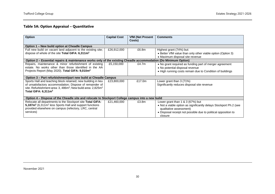## **Table 5A: Option Appraisal – Quantitative**

| <b>Option</b>                                                                                                                                                                                                                       | <b>Capital Cost</b> | <b>VfM (Net Present</b><br>Costs) | <b>Comments</b>                                                                                                                                                                                                 |  |  |  |  |  |  |  |
|-------------------------------------------------------------------------------------------------------------------------------------------------------------------------------------------------------------------------------------|---------------------|-----------------------------------|-----------------------------------------------------------------------------------------------------------------------------------------------------------------------------------------------------------------|--|--|--|--|--|--|--|
| Option 1 - New build option at Cheadle Campus                                                                                                                                                                                       |                     |                                   |                                                                                                                                                                                                                 |  |  |  |  |  |  |  |
| Full new build on vacant land adjacent to the existing site;<br>dispose of whole of the site Total GIFA: 6,311m <sup>2</sup>                                                                                                        | £26,912,000         | £6.8m                             | Highest grant (74%) but:<br>• Better VfM value than only other viable option (Option 3)<br>• Maximum disposal site revenue                                                                                      |  |  |  |  |  |  |  |
| Option 2 – Essential repairs & maintenance works only of the existing Cheadle accommodation (Do Minimum Option)                                                                                                                     |                     |                                   |                                                                                                                                                                                                                 |  |  |  |  |  |  |  |
| Repairs, maintenance & minor refurbishment of existing<br>estate. No works other than those identified in the AA<br>Projects Report (May 2020). Total GIFA: 9,010m <sup>2</sup>                                                     | £5,150,000          | £4.7m                             | • No grant required as funding part of merger agreement<br>• No potential disposal revenue<br>• High running costs remain due to Condition of buildings                                                         |  |  |  |  |  |  |  |
| Option 3 - Part refurbishment/part new build at Cheadle Campus                                                                                                                                                                      |                     |                                   |                                                                                                                                                                                                                 |  |  |  |  |  |  |  |
| Sports Hall and teaching block retained; new building in lieu<br>of unsatisfactory accommodation; Dispose of remainder of<br>site. Refurbishment area: 3, $486m^2$ ; New build area: 2,825 $m^2$<br>Total GIFA: $6.311\mathrm{m}^2$ | £23,800,000         | £17.0m                            | Lower grant than 3 (71%)<br>Significantly reduces disposal site revenue                                                                                                                                         |  |  |  |  |  |  |  |
| Option 4 – Dispose of the Cheadle site and relocate to Stockport College campus into a new build                                                                                                                                    |                     |                                   |                                                                                                                                                                                                                 |  |  |  |  |  |  |  |
| Relocate all departments to the Stockport site Total GIFA:<br>5,187m <sup>2</sup> (6,311m <sup>2</sup> less Sports Hall and support functions<br>provided elsewhere on campus (refectory, LRC, central<br>services)                 | £21,460,000         | £3.8m                             | Lower grant than $1 & 3 (67%)$ but<br>• Not a viable option as significantly delays Stockport Ph.2 (see<br>qualitative assessment)<br>• Disposal receipt not possible due to political opposition to<br>closure |  |  |  |  |  |  |  |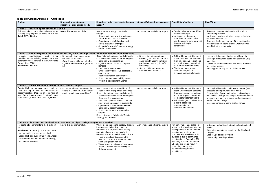- Retains a presence at Cheadle which will be supported politically
- Maximises the disposal site's receipt potential as will leave a vacant site
- Removes the legacy burden of the existing site Will result in new sports pitches with improved benefits for the community
- Legacy building condition issues will remain • Existing building risks could be discovered (e.g. asbestos)
- Decline as students choose alternative providers with better facilities
- Existing poor quality sports pitches remain

### **Table 5B: Option Appraisal – Qualitative**

Existing building risks could be discovered (e.g. asbestos) during refurbishment works • Disposal site of poor marketable quality (shape/ proximity to College) resulting in a reduced receipt

- or unsold and leaving a legacy and maintenance burden for the College
- Existing poor quality sports pitches remain

Not supported politically at regional and national levels

- Eliminates capacity for growth on the Stockport campus
- Loss of Sports Hall provision
- Loss of High Needs provision

| <b>Option</b>                                                                                                                                                                                                                                                           | Does option meet estate<br>improvement condition need?                                                                                         | How does option meet strategic estate<br>needs?                                                                                                                                                                                                                                                                                                                                                                                                                                       | Space efficiency improvements                                                                                                                                                                                              | Feasibility of delivery                                                                                                                                                                                                                                                                                                                                                 | <b>Risks/Other</b>                                                                                        |
|-------------------------------------------------------------------------------------------------------------------------------------------------------------------------------------------------------------------------------------------------------------------------|------------------------------------------------------------------------------------------------------------------------------------------------|---------------------------------------------------------------------------------------------------------------------------------------------------------------------------------------------------------------------------------------------------------------------------------------------------------------------------------------------------------------------------------------------------------------------------------------------------------------------------------------|----------------------------------------------------------------------------------------------------------------------------------------------------------------------------------------------------------------------------|-------------------------------------------------------------------------------------------------------------------------------------------------------------------------------------------------------------------------------------------------------------------------------------------------------------------------------------------------------------------------|-----------------------------------------------------------------------------------------------------------|
| Option 1 - New build option at Cheadle Campus                                                                                                                                                                                                                           |                                                                                                                                                |                                                                                                                                                                                                                                                                                                                                                                                                                                                                                       |                                                                                                                                                                                                                            |                                                                                                                                                                                                                                                                                                                                                                         |                                                                                                           |
| Full new build on vacant land adjacent to the<br>existing site; dispose of whole of the site<br>Total GIFA: 6,311m <sup>2</sup>                                                                                                                                         | Meets this requirement fully                                                                                                                   | Meets estate strategy completely<br>through:<br>• Reduction in over-provision of space<br>• Fit-for-purpose space provided<br>• Operational costs fully minimised<br>• Meets sustainability targets<br>• Supports "whole site" estates strategy<br>for the Cheadle site                                                                                                                                                                                                               | Achieves space efficiency targets                                                                                                                                                                                          | • Can be delivered within 2024<br>completion target<br>• No impact on day-to-day<br>operations as students will<br>use the existing College whilst<br>the new building is<br>constructed                                                                                                                                                                                | • Retains a<br>supported<br>• Maximises<br>will leave a<br>• Removes<br>• Will result<br>benefits fo      |
| Option 2 - Essential repairs & maintenance works only of the existing Cheadle accommodation (Do Minimum Option)                                                                                                                                                         |                                                                                                                                                |                                                                                                                                                                                                                                                                                                                                                                                                                                                                                       |                                                                                                                                                                                                                            |                                                                                                                                                                                                                                                                                                                                                                         |                                                                                                           |
| maintenance<br>and<br>minor<br>Repairs,<br>refurbishment of existing estate. No works<br>other than those identified in the AA Projects<br>Report (May 2020)<br>Total GIFA: 9,010m <sup>2</sup>                                                                         | • No as majority of estate would<br>remain as Condition C<br>• Overall estate will require further<br>significant investment in years 5-<br>10 | Does not meet strategic needs through:<br>• Not consistent with Estate Strategy as<br>Condition C stock remains<br>• significant over provision of space<br>remains<br>• Inefficient space remains<br>• Unnecessarily excessive operational<br>cost burden<br>• Poor sustainability performance<br>• Does not meet sustainability targets<br>• Project is not Transformational                                                                                                        | • Does not meet current space<br>efficiency improvements for the<br>campus with a significant over<br>provision of space (2,699m <sup>2</sup> )<br>remaining<br>• Space not fit for current and<br>future curriculum needs | • Achievable but refurbishment<br>option will impact on students<br>through extensive relocations<br>and enabling works required<br>for the refurbishment works<br>• Significant management<br>resources required to<br>minimise operational impact                                                                                                                     | • Legacy bu<br>$\bullet$ Existing be<br>asbestos)<br>• Decline as<br>with better<br>$\bullet$ Existing po |
| Option 3 - Part refurbishment/part new build at Cheadle Campus                                                                                                                                                                                                          |                                                                                                                                                |                                                                                                                                                                                                                                                                                                                                                                                                                                                                                       |                                                                                                                                                                                                                            |                                                                                                                                                                                                                                                                                                                                                                         |                                                                                                           |
| Sports Hall and teaching block retained;<br>new building in lieu of unsatisfactory<br>accommodation; Dispose of remainder of<br>site. Refurbishment area: 3, 486m <sup>2</sup> ; New<br>build area: 2,825m <sup>2</sup> Total GIFA: 6,311m <sup>2</sup>                 | • In part as will convert 44% of the<br>estate to Condition A with 56% of<br>estate remaining as condition B                                   | Meets estate strategy in part through:<br>• Reduction in over-provision of space<br>Does not meet strategic needs through:<br>• Not consistent with Estate Strategy as<br>Condition C stock remains<br>• Inefficient space retained - does not<br>meet future curriculum requirements<br>• Operational cost burden retained of<br>Condition B accommodation<br>• Does not fully meet sustainability<br>targets<br>Does not support "whole site" Estate<br><b>Strategy for Cheadle</b> | Achieves space efficiency targets                                                                                                                                                                                          | • Achievable but refurbishment<br>option will impact on students<br>through extensive relocations<br>and enabling works required<br>for the refurbishment works<br>• Will take longer to deliver than<br>1 due to decanting<br>requirements for<br>refurbishment element                                                                                                | • Existing bu<br>asbestos)<br>• Disposal s<br>proximity t<br>or unsold a<br>burden for<br>• Existing po   |
| Option 4 – Dispose of the Cheadle site and relocate to Stockport College campus into a new build                                                                                                                                                                        |                                                                                                                                                |                                                                                                                                                                                                                                                                                                                                                                                                                                                                                       |                                                                                                                                                                                                                            |                                                                                                                                                                                                                                                                                                                                                                         |                                                                                                           |
| Relocate all departments to the Stockport<br>site<br>Total GIFA: $5,187m^2$ (6,311m <sup>2</sup> total area<br>requirement less areas not required<br>(Sports Hall) and support functions already<br>provided on Stockport campus (refectory,<br>LRC, central services) | Meets this requirement fully                                                                                                                   | Whilst meets the estate strategy through<br>improvement in building condition,<br>reduction in over-provision of space;<br>operational cost and sustainability<br>benefits, it is not a realistic option due to:<br>• there is insufficient space on the<br>Stockport campus to accommodate<br>such a large requirement<br>• Would stop the delivery of the current<br>Phase 2 project (see Feasibility of<br>Delivery response)                                                      | Achieves space efficiency targets                                                                                                                                                                                          | Not achievable. Due to lack of<br>space on the Stockport site, the<br>only option is to locate the new<br>building on the site of the<br>proposed Ph. 2 building. This<br>building is due to commence<br>construction in December 2021.<br>Stopping to accommodate the<br>Cheadle site would result in<br>breaching funding and<br>development agreement<br>conditions. | • Not suppo<br>levels<br>• Eliminates<br>campus<br>• Loss of Sp<br>• Loss of Hi                           |